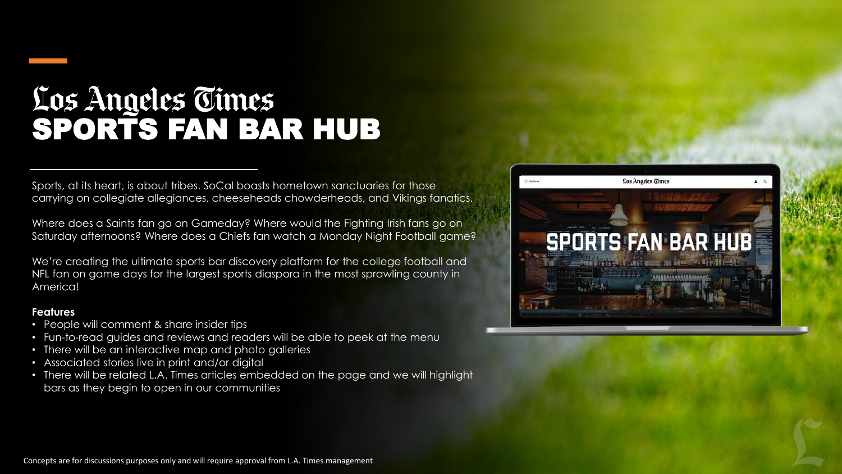## Los Angeles Cimes<br>SPORTS FAN BAR HUB

Sports, at its heart, is about tribes. SoCal boasts hometown sanctuaries for those carrying on collegiate allegiances, cheeseheads chowderheads, and Vikings fanatics.

Where does a Saints fan go on Gameday? Where would the Fighting Irish fans go on Saturday afternoons? Where does a Chiefs fan watch a Monday Night Football game?

We're creating the ultimate sports bar discovery platform for the college football and NFL fan on game days for the largest sports diaspora in the most sprawling county in America!

## **Features**

- People will comment & share insider tips
- Fun-to-read guides and reviews and readers will be able to peek at the menu
- There will be an interactive map and photo galleries
- Associated stories live in print and/or digital
- There will be related L.A. Times articles embedded on the page and we will highlight bars as they begin to open in our communities